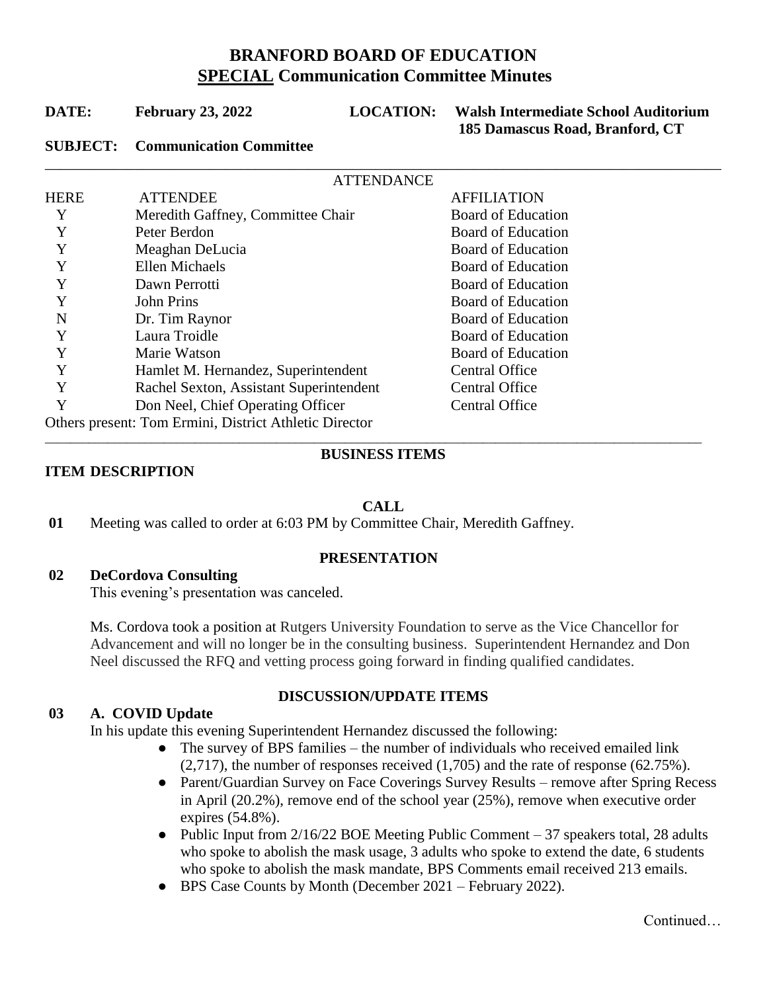# **BRANFORD BOARD OF EDUCATION SPECIAL Communication Committee Minutes**

| DATE: | <b>February 23, 2022</b> |  |  |
|-------|--------------------------|--|--|
|-------|--------------------------|--|--|

\_\_\_\_\_\_\_\_\_\_\_\_\_\_\_\_\_\_\_\_\_\_\_\_\_\_\_\_\_\_\_\_\_\_\_\_\_\_\_\_\_\_\_\_\_\_\_\_\_\_\_\_\_\_\_\_\_\_\_\_\_\_\_\_\_\_\_\_\_\_\_\_\_\_\_\_\_\_\_\_\_\_\_\_\_\_\_\_\_\_

**LOCATION:** Walsh Intermediate School Auditorium  **185 Damascus Road, Branford, CT**

# **SUBJECT: Communication Committee**

| <b>ATTENDANCE</b>                                      |                                         |                       |  |
|--------------------------------------------------------|-----------------------------------------|-----------------------|--|
| HERE                                                   | <b>ATTENDEE</b>                         | <b>AFFILIATION</b>    |  |
|                                                        | Meredith Gaffney, Committee Chair       | Board of Education    |  |
| Y                                                      | Peter Berdon                            | Board of Education    |  |
| Y                                                      | Meaghan DeLucia                         | Board of Education    |  |
| Y                                                      | Ellen Michaels                          | Board of Education    |  |
| Y                                                      | Dawn Perrotti                           | Board of Education    |  |
| Y                                                      | <b>John Prins</b>                       | Board of Education    |  |
| N                                                      | Dr. Tim Raynor                          | Board of Education    |  |
|                                                        | Laura Troidle                           | Board of Education    |  |
|                                                        | Marie Watson                            | Board of Education    |  |
|                                                        | Hamlet M. Hernandez, Superintendent     | <b>Central Office</b> |  |
| Y                                                      | Rachel Sexton, Assistant Superintendent | <b>Central Office</b> |  |
|                                                        | Don Neel, Chief Operating Officer       | <b>Central Office</b> |  |
| Others present: Tom Ermini, District Athletic Director |                                         |                       |  |

#### \_\_\_\_\_\_\_\_\_\_\_\_\_\_\_\_\_\_\_\_\_\_\_\_\_\_\_\_\_\_\_\_\_\_\_\_\_\_\_\_\_\_\_\_\_\_\_\_\_\_\_\_\_\_\_\_\_\_\_\_\_\_\_\_\_\_\_\_\_\_\_\_\_\_\_\_\_\_\_\_\_\_\_\_\_\_\_\_\_\_\_\_\_\_\_\_\_\_\_\_\_\_\_\_\_ **BUSINESS ITEMS**

# **ITEM DESCRIPTION**

# **CALL**

**01** Meeting was called to order at 6:03 PM by Committee Chair, Meredith Gaffney.

# **PRESENTATION**

# **02 DeCordova Consulting**

This evening's presentation was canceled.

Ms. Cordova took a position at Rutgers University Foundation to serve as the Vice Chancellor for Advancement and will no longer be in the consulting business. Superintendent Hernandez and Don Neel discussed the RFQ and vetting process going forward in finding qualified candidates.

# **03 A. COVID Update**

# **DISCUSSION/UPDATE ITEMS**

In his update this evening Superintendent Hernandez discussed the following:

- The survey of BPS families the number of individuals who received emailed link (2,717), the number of responses received (1,705) and the rate of response (62.75%).
- Parent/Guardian Survey on Face Coverings Survey Results remove after Spring Recess in April (20.2%), remove end of the school year (25%), remove when executive order expires (54.8%).
- Public Input from 2/16/22 BOE Meeting Public Comment 37 speakers total, 28 adults who spoke to abolish the mask usage, 3 adults who spoke to extend the date, 6 students who spoke to abolish the mask mandate, BPS Comments email received 213 emails.
- BPS Case Counts by Month (December 2021 February 2022).